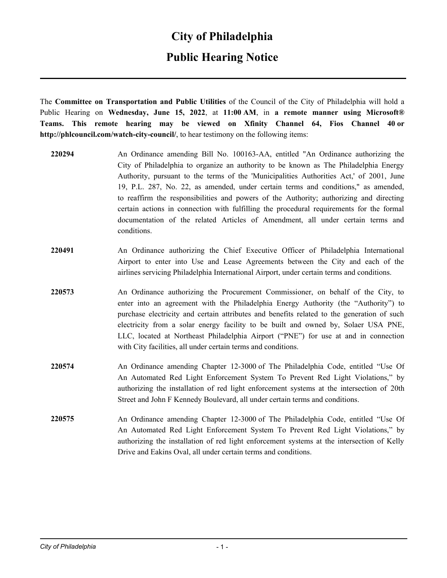#### **City of Philadelphia**

### **Public Hearing Notice**

The **Committee on Transportation and Public Utilities** of the Council of the City of Philadelphia will hold a Public Hearing on **Wednesday, June 15, 2022**, at **11:00 AM**, in **a remote manner using Microsoft® Teams. This remote hearing may be viewed on Xfinity Channel 64, Fios Channel 40 or http://phlcouncil.com/watch-city-council/**, to hear testimony on the following items:

- **220294** An Ordinance amending Bill No. 100163-AA, entitled "An Ordinance authorizing the City of Philadelphia to organize an authority to be known as The Philadelphia Energy Authority, pursuant to the terms of the 'Municipalities Authorities Act,' of 2001, June 19, P.L. 287, No. 22, as amended, under certain terms and conditions," as amended, to reaffirm the responsibilities and powers of the Authority; authorizing and directing certain actions in connection with fulfilling the procedural requirements for the formal documentation of the related Articles of Amendment, all under certain terms and conditions.
- **220491** An Ordinance authorizing the Chief Executive Officer of Philadelphia International Airport to enter into Use and Lease Agreements between the City and each of the airlines servicing Philadelphia International Airport, under certain terms and conditions.
- **220573** An Ordinance authorizing the Procurement Commissioner, on behalf of the City, to enter into an agreement with the Philadelphia Energy Authority (the "Authority") to purchase electricity and certain attributes and benefits related to the generation of such electricity from a solar energy facility to be built and owned by, Solaer USA PNE, LLC, located at Northeast Philadelphia Airport ("PNE") for use at and in connection with City facilities, all under certain terms and conditions.
- **220574** An Ordinance amending Chapter 12-3000 of The Philadelphia Code, entitled "Use Of An Automated Red Light Enforcement System To Prevent Red Light Violations," by authorizing the installation of red light enforcement systems at the intersection of 20th Street and John F Kennedy Boulevard, all under certain terms and conditions.
- **220575** An Ordinance amending Chapter 12-3000 of The Philadelphia Code, entitled "Use Of An Automated Red Light Enforcement System To Prevent Red Light Violations," by authorizing the installation of red light enforcement systems at the intersection of Kelly Drive and Eakins Oval, all under certain terms and conditions.